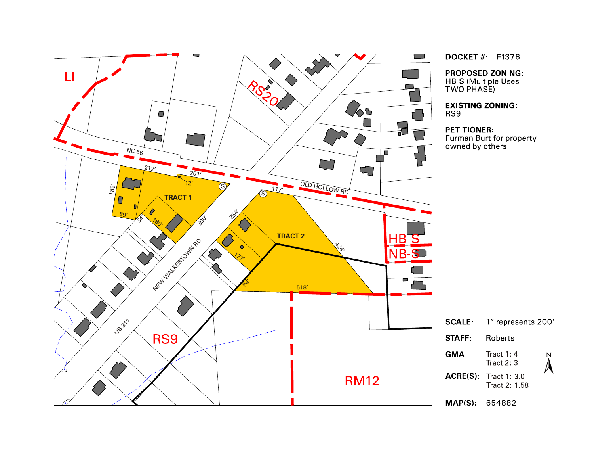

**DOCKET #: F1376** 

**PROPOSED ZONING:** HB-S (Multiple Uses-

Furman Burt for property<br>owned by others

| LE: | 1" represents 200'                   |   |
|-----|--------------------------------------|---|
| FF: | Roberts                              |   |
| ١.  | Tract 1: $4$<br>Tract 2: 3           | N |
|     | $E(S)$ Tract 1: 3.0<br>Tract 2: 1.58 |   |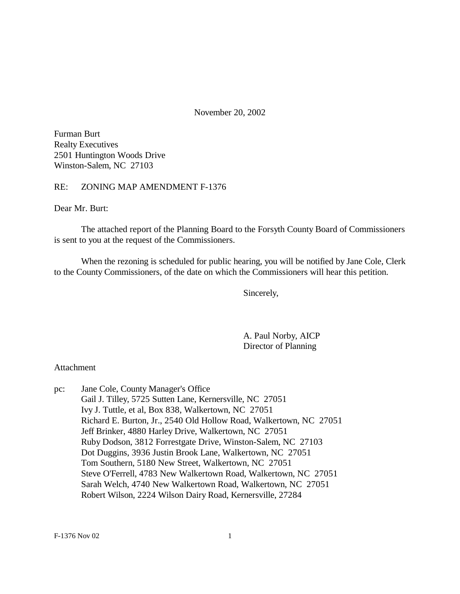November 20, 2002

Furman Burt Realty Executives 2501 Huntington Woods Drive Winston-Salem, NC 27103

### RE: ZONING MAP AMENDMENT F-1376

Dear Mr. Burt:

The attached report of the Planning Board to the Forsyth County Board of Commissioners is sent to you at the request of the Commissioners.

When the rezoning is scheduled for public hearing, you will be notified by Jane Cole, Clerk to the County Commissioners, of the date on which the Commissioners will hear this petition.

Sincerely,

A. Paul Norby, AICP Director of Planning

#### Attachment

pc: Jane Cole, County Manager's Office Gail J. Tilley, 5725 Sutten Lane, Kernersville, NC 27051 Ivy J. Tuttle, et al, Box 838, Walkertown, NC 27051 Richard E. Burton, Jr., 2540 Old Hollow Road, Walkertown, NC 27051 Jeff Brinker, 4880 Harley Drive, Walkertown, NC 27051 Ruby Dodson, 3812 Forrestgate Drive, Winston-Salem, NC 27103 Dot Duggins, 3936 Justin Brook Lane, Walkertown, NC 27051 Tom Southern, 5180 New Street, Walkertown, NC 27051 Steve O'Ferrell, 4783 New Walkertown Road, Walkertown, NC 27051 Sarah Welch, 4740 New Walkertown Road, Walkertown, NC 27051 Robert Wilson, 2224 Wilson Dairy Road, Kernersville, 27284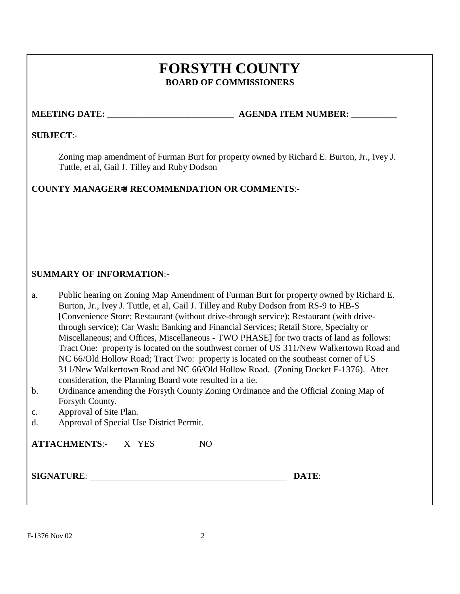# **FORSYTH COUNTY BOARD OF COMMISSIONERS**

### **MEETING DATE: WE GENDA ITEM NUMBER:**

 $\mathbf{DATE:}$ 

### **SUBJECT**:-

Zoning map amendment of Furman Burt for property owned by Richard E. Burton, Jr., Ivey J. Tuttle, et al, Gail J. Tilley and Ruby Dodson

### **COUNTY MANAGER=S RECOMMENDATION OR COMMENTS**:-

### **SUMMARY OF INFORMATION**:-

a. Public hearing on Zoning Map Amendment of Furman Burt for property owned by Richard E. Burton, Jr., Ivey J. Tuttle, et al, Gail J. Tilley and Ruby Dodson from RS-9 to HB-S [Convenience Store; Restaurant (without drive-through service); Restaurant (with drivethrough service); Car Wash; Banking and Financial Services; Retail Store, Specialty or Miscellaneous; and Offices, Miscellaneous - TWO PHASE] for two tracts of land as follows: Tract One: property is located on the southwest corner of US 311/New Walkertown Road and NC 66/Old Hollow Road; Tract Two: property is located on the southeast corner of US 311/New Walkertown Road and NC 66/Old Hollow Road. (Zoning Docket F-1376). After consideration, the Planning Board vote resulted in a tie.

- b. Ordinance amending the Forsyth County Zoning Ordinance and the Official Zoning Map of Forsyth County.
- c. Approval of Site Plan.
- d. Approval of Special Use District Permit.

| <b>ATTACHMENTS:- X YES</b> | NO. |
|----------------------------|-----|
| <b>SIGNATURE:</b>          |     |
|                            |     |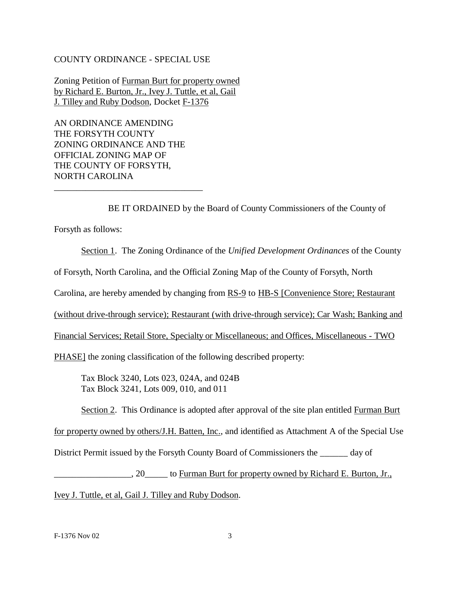#### COUNTY ORDINANCE - SPECIAL USE

Zoning Petition of Furman Burt for property owned by Richard E. Burton, Jr., Ivey J. Tuttle, et al, Gail J. Tilley and Ruby Dodson, Docket F-1376

AN ORDINANCE AMENDING THE FORSYTH COUNTY ZONING ORDINANCE AND THE OFFICIAL ZONING MAP OF THE COUNTY OF FORSYTH, NORTH CAROLINA

\_\_\_\_\_\_\_\_\_\_\_\_\_\_\_\_\_\_\_\_\_\_\_\_\_\_\_\_\_\_\_\_\_

BE IT ORDAINED by the Board of County Commissioners of the County of

Forsyth as follows:

Section 1. The Zoning Ordinance of the *Unified Development Ordinances* of the County

of Forsyth, North Carolina, and the Official Zoning Map of the County of Forsyth, North

Carolina, are hereby amended by changing from RS-9 to HB-S [Convenience Store; Restaurant

(without drive-through service); Restaurant (with drive-through service); Car Wash; Banking and

Financial Services; Retail Store, Specialty or Miscellaneous; and Offices, Miscellaneous - TWO

PHASE] the zoning classification of the following described property:

Tax Block 3240, Lots 023, 024A, and 024B Tax Block 3241, Lots 009, 010, and 011

Section 2. This Ordinance is adopted after approval of the site plan entitled Furman Burt

for property owned by others/J.H. Batten, Inc., and identified as Attachment A of the Special Use

District Permit issued by the Forsyth County Board of Commissioners the \_\_\_\_\_\_ day of

\_\_\_\_\_\_\_\_\_\_\_\_\_\_\_\_\_, 20\_\_\_\_\_ to Furman Burt for property owned by Richard E. Burton, Jr., Ivey J. Tuttle, et al, Gail J. Tilley and Ruby Dodson.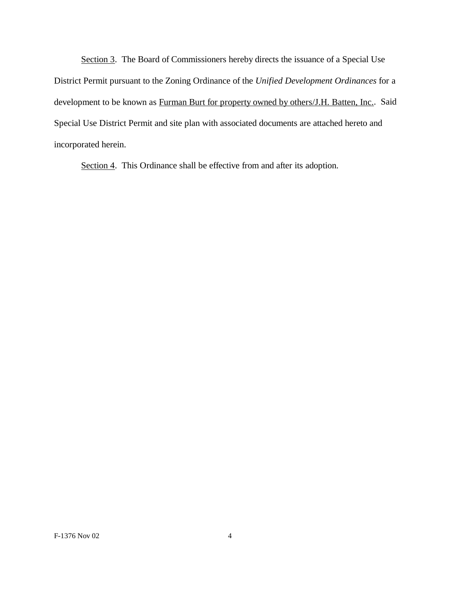Section 3. The Board of Commissioners hereby directs the issuance of a Special Use District Permit pursuant to the Zoning Ordinance of the *Unified Development Ordinances* for a development to be known as Furman Burt for property owned by others/J.H. Batten, Inc.. Said Special Use District Permit and site plan with associated documents are attached hereto and incorporated herein.

Section 4. This Ordinance shall be effective from and after its adoption.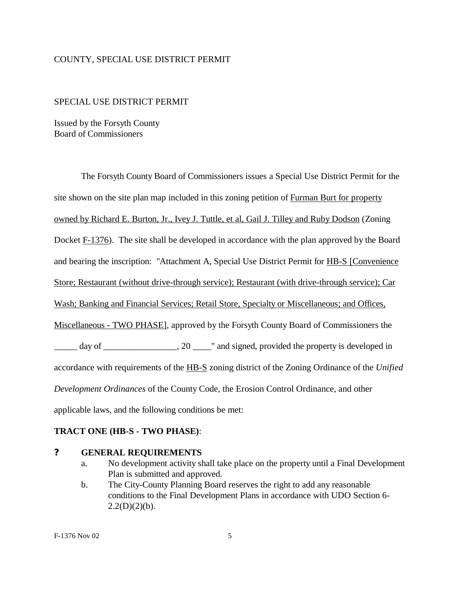#### COUNTY, SPECIAL USE DISTRICT PERMIT

#### SPECIAL USE DISTRICT PERMIT

Issued by the Forsyth County Board of Commissioners

The Forsyth County Board of Commissioners issues a Special Use District Permit for the site shown on the site plan map included in this zoning petition of Furman Burt for property owned by Richard E. Burton, Jr., Ivey J. Tuttle, et al, Gail J. Tilley and Ruby Dodson (Zoning Docket F-1376). The site shall be developed in accordance with the plan approved by the Board and bearing the inscription: "Attachment A, Special Use District Permit for HB-S [Convenience Store; Restaurant (without drive-through service); Restaurant (with drive-through service); Car Wash; Banking and Financial Services; Retail Store, Specialty or Miscellaneous; and Offices, Miscellaneous - TWO PHASE], approved by the Forsyth County Board of Commissioners the  $\frac{1}{\sqrt{2}}$  day of  $\frac{1}{\sqrt{2}}$  and signed, provided the property is developed in accordance with requirements of the HB-S zoning district of the Zoning Ordinance of the *Unified Development Ordinances* of the County Code, the Erosion Control Ordinance, and other applicable laws, and the following conditions be met:

### **TRACT ONE (HB-S - TWO PHASE)**:

#### **? GENERAL REQUIREMENTS**

- a. No development activity shall take place on the property until a Final Development Plan is submitted and approved.
- b. The City-County Planning Board reserves the right to add any reasonable conditions to the Final Development Plans in accordance with UDO Section 6-  $2.2(D)(2)(b)$ .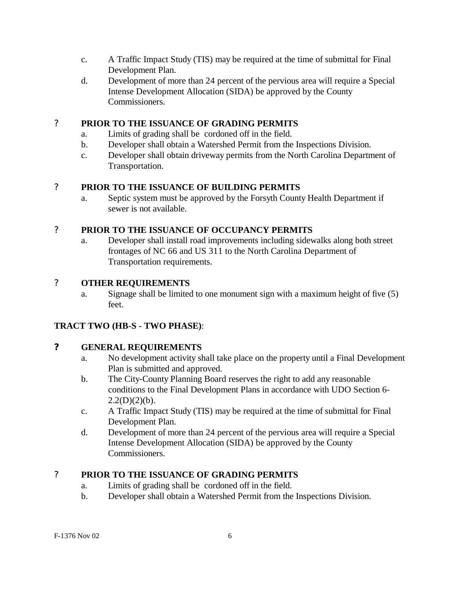- c. A Traffic Impact Study (TIS) may be required at the time of submittal for Final Development Plan.
- d. Development of more than 24 percent of the pervious area will require a Special Intense Development Allocation (SIDA) be approved by the County Commissioners.

# ? **PRIOR TO THE ISSUANCE OF GRADING PERMITS**

- a. Limits of grading shall be cordoned off in the field.
- b. Developer shall obtain a Watershed Permit from the Inspections Division.
- c. Developer shall obtain driveway permits from the North Carolina Department of Transportation.

# ? **PRIOR TO THE ISSUANCE OF BUILDING PERMITS**

a. Septic system must be approved by the Forsyth County Health Department if sewer is not available.

# ? **PRIOR TO THE ISSUANCE OF OCCUPANCY PERMITS**

a. Developer shall install road improvements including sidewalks along both street frontages of NC 66 and US 311 to the North Carolina Department of Transportation requirements.

# ? **OTHER REQUIREMENTS**

a. Signage shall be limited to one monument sign with a maximum height of five (5) feet.

# **TRACT TWO (HB-S - TWO PHASE)**:

# **? GENERAL REQUIREMENTS**

- a. No development activity shall take place on the property until a Final Development Plan is submitted and approved.
- b. The City-County Planning Board reserves the right to add any reasonable conditions to the Final Development Plans in accordance with UDO Section 6-  $2.2(D)(2)(b)$ .
- c. A Traffic Impact Study (TIS) may be required at the time of submittal for Final Development Plan.
- d. Development of more than 24 percent of the pervious area will require a Special Intense Development Allocation (SIDA) be approved by the County Commissioners.

# ? **PRIOR TO THE ISSUANCE OF GRADING PERMITS**

- a. Limits of grading shall be cordoned off in the field.
- b. Developer shall obtain a Watershed Permit from the Inspections Division.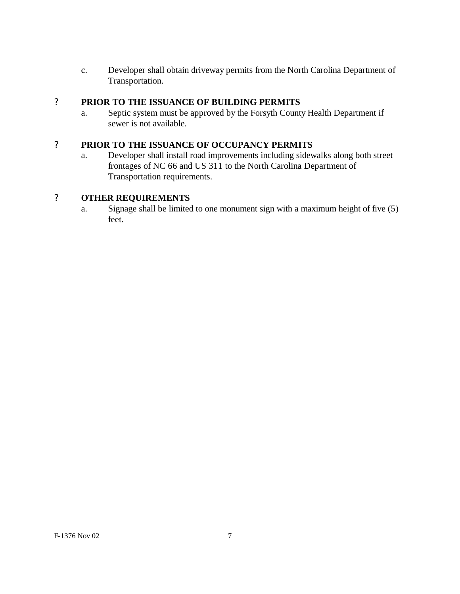c. Developer shall obtain driveway permits from the North Carolina Department of Transportation.

# ? **PRIOR TO THE ISSUANCE OF BUILDING PERMITS**

a. Septic system must be approved by the Forsyth County Health Department if sewer is not available.

# ? **PRIOR TO THE ISSUANCE OF OCCUPANCY PERMITS**

a. Developer shall install road improvements including sidewalks along both street frontages of NC 66 and US 311 to the North Carolina Department of Transportation requirements.

# ? **OTHER REQUIREMENTS**

a. Signage shall be limited to one monument sign with a maximum height of five (5) feet.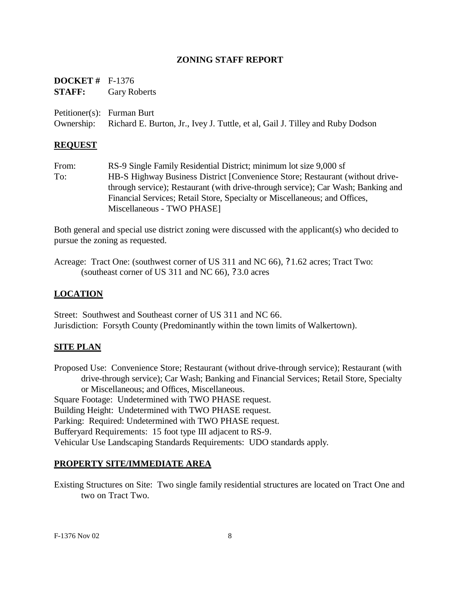### **ZONING STAFF REPORT**

| <b>DOCKET</b> # $F-1376$ |                                                                                          |
|--------------------------|------------------------------------------------------------------------------------------|
|                          | <b>STAFF:</b> Gary Roberts                                                               |
|                          | Petitioner(s): Furman Burt                                                               |
|                          | Ownership: Richard E. Burton, Jr., Ivey J. Tuttle, et al, Gail J. Tilley and Ruby Dodson |

#### **REQUEST**

From: RS-9 Single Family Residential District; minimum lot size 9,000 sf To: HB-S Highway Business District [Convenience Store; Restaurant (without drivethrough service); Restaurant (with drive-through service); Car Wash; Banking and Financial Services; Retail Store, Specialty or Miscellaneous; and Offices, Miscellaneous - TWO PHASE]

Both general and special use district zoning were discussed with the applicant(s) who decided to pursue the zoning as requested.

Acreage: Tract One: (southwest corner of US 311 and NC 66), ?1.62 acres; Tract Two: (southeast corner of US 311 and NC 66), ?3.0 acres

#### **LOCATION**

Street: Southwest and Southeast corner of US 311 and NC 66. Jurisdiction: Forsyth County (Predominantly within the town limits of Walkertown).

#### **SITE PLAN**

Proposed Use: Convenience Store; Restaurant (without drive-through service); Restaurant (with drive-through service); Car Wash; Banking and Financial Services; Retail Store, Specialty or Miscellaneous; and Offices, Miscellaneous. Square Footage: Undetermined with TWO PHASE request. Building Height: Undetermined with TWO PHASE request. Parking: Required: Undetermined with TWO PHASE request. Bufferyard Requirements: 15 foot type III adjacent to RS-9. Vehicular Use Landscaping Standards Requirements: UDO standards apply.

#### **PROPERTY SITE/IMMEDIATE AREA**

Existing Structures on Site: Two single family residential structures are located on Tract One and two on Tract Two.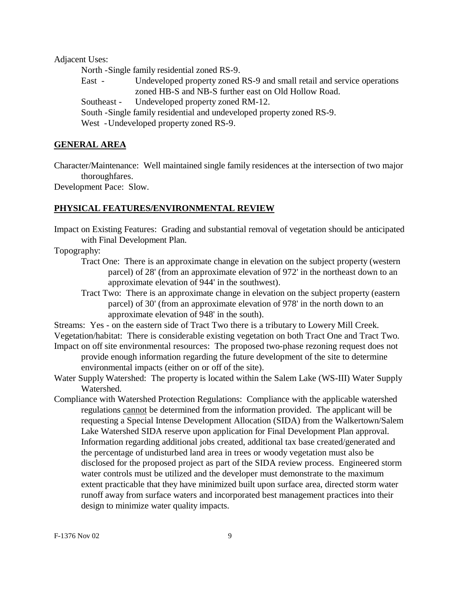Adjacent Uses:

North -Single family residential zoned RS-9.

East - Undeveloped property zoned RS-9 and small retail and service operations zoned HB-S and NB-S further east on Old Hollow Road. Southeast - Undeveloped property zoned RM-12. South -Single family residential and undeveloped property zoned RS-9. West -Undeveloped property zoned RS-9.

#### **GENERAL AREA**

Character/Maintenance: Well maintained single family residences at the intersection of two major thoroughfares.

Development Pace: Slow.

#### **PHYSICAL FEATURES/ENVIRONMENTAL REVIEW**

Impact on Existing Features: Grading and substantial removal of vegetation should be anticipated with Final Development Plan.

Topography:

- Tract One: There is an approximate change in elevation on the subject property (western parcel) of 28' (from an approximate elevation of 972' in the northeast down to an approximate elevation of 944' in the southwest).
- Tract Two: There is an approximate change in elevation on the subject property (eastern parcel) of 30' (from an approximate elevation of 978' in the north down to an approximate elevation of 948' in the south).

Streams: Yes - on the eastern side of Tract Two there is a tributary to Lowery Mill Creek. Vegetation/habitat: There is considerable existing vegetation on both Tract One and Tract Two.

- Impact on off site environmental resources: The proposed two-phase rezoning request does not provide enough information regarding the future development of the site to determine environmental impacts (either on or off of the site).
- Water Supply Watershed: The property is located within the Salem Lake (WS-III) Water Supply Watershed.
- Compliance with Watershed Protection Regulations: Compliance with the applicable watershed regulations cannot be determined from the information provided. The applicant will be requesting a Special Intense Development Allocation (SIDA) from the Walkertown/Salem Lake Watershed SIDA reserve upon application for Final Development Plan approval. Information regarding additional jobs created, additional tax base created/generated and the percentage of undisturbed land area in trees or woody vegetation must also be disclosed for the proposed project as part of the SIDA review process. Engineered storm water controls must be utilized and the developer must demonstrate to the maximum extent practicable that they have minimized built upon surface area, directed storm water runoff away from surface waters and incorporated best management practices into their design to minimize water quality impacts.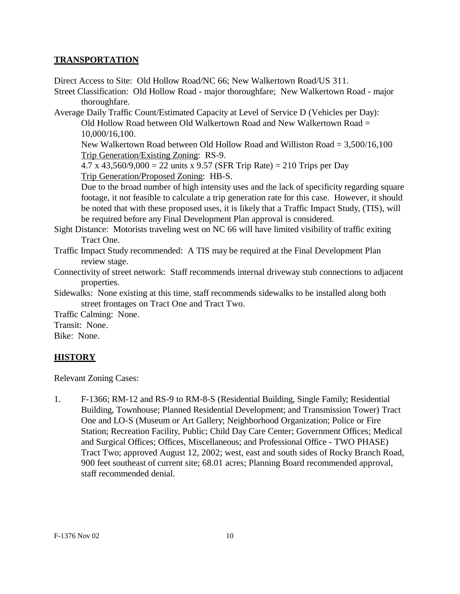### **TRANSPORTATION**

Direct Access to Site: Old Hollow Road/NC 66; New Walkertown Road/US 311.

Street Classification: Old Hollow Road - major thoroughfare; New Walkertown Road - major thoroughfare.

Average Daily Traffic Count/Estimated Capacity at Level of Service D (Vehicles per Day): Old Hollow Road between Old Walkertown Road and New Walkertown Road  $=$ 10,000/16,100.

New Walkertown Road between Old Hollow Road and Williston Road = 3,500/16,100 Trip Generation/Existing Zoning: RS-9.

4.7 x 43,560/9,000 = 22 units x 9.57 (SFR Trip Rate) = 210 Trips per Day Trip Generation/Proposed Zoning: HB-S.

Due to the broad number of high intensity uses and the lack of specificity regarding square footage, it not feasible to calculate a trip generation rate for this case. However, it should be noted that with these proposed uses, it is likely that a Traffic Impact Study, (TIS), will be required before any Final Development Plan approval is considered.

Sight Distance: Motorists traveling west on NC 66 will have limited visibility of traffic exiting Tract One.

Traffic Impact Study recommended: A TIS may be required at the Final Development Plan review stage.

Connectivity of street network: Staff recommends internal driveway stub connections to adjacent properties.

Sidewalks: None existing at this time, staff recommends sidewalks to be installed along both street frontages on Tract One and Tract Two.

Traffic Calming: None.

Transit: None.

Bike: None.

# **HISTORY**

Relevant Zoning Cases:

1. F-1366; RM-12 and RS-9 to RM-8-S (Residential Building, Single Family; Residential Building, Townhouse; Planned Residential Development; and Transmission Tower) Tract One and LO-S (Museum or Art Gallery; Neighborhood Organization; Police or Fire Station; Recreation Facility, Public; Child Day Care Center; Government Offices; Medical and Surgical Offices; Offices, Miscellaneous; and Professional Office - TWO PHASE) Tract Two; approved August 12, 2002; west, east and south sides of Rocky Branch Road, 900 feet southeast of current site; 68.01 acres; Planning Board recommended approval, staff recommended denial.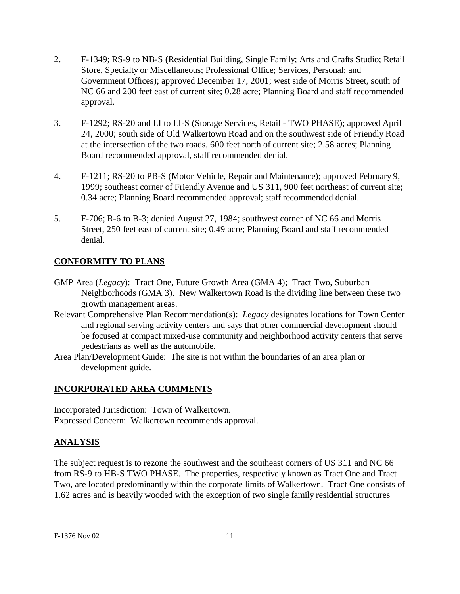- 2. F-1349; RS-9 to NB-S (Residential Building, Single Family; Arts and Crafts Studio; Retail Store, Specialty or Miscellaneous; Professional Office; Services, Personal; and Government Offices); approved December 17, 2001; west side of Morris Street, south of NC 66 and 200 feet east of current site; 0.28 acre; Planning Board and staff recommended approval.
- 3. F-1292; RS-20 and LI to LI-S (Storage Services, Retail TWO PHASE); approved April 24, 2000; south side of Old Walkertown Road and on the southwest side of Friendly Road at the intersection of the two roads, 600 feet north of current site; 2.58 acres; Planning Board recommended approval, staff recommended denial.
- 4. F-1211; RS-20 to PB-S (Motor Vehicle, Repair and Maintenance); approved February 9, 1999; southeast corner of Friendly Avenue and US 311, 900 feet northeast of current site; 0.34 acre; Planning Board recommended approval; staff recommended denial.
- 5. F-706; R-6 to B-3; denied August 27, 1984; southwest corner of NC 66 and Morris Street, 250 feet east of current site; 0.49 acre; Planning Board and staff recommended denial.

# **CONFORMITY TO PLANS**

- GMP Area (*Legacy*): Tract One, Future Growth Area (GMA 4); Tract Two, Suburban Neighborhoods (GMA 3). New Walkertown Road is the dividing line between these two growth management areas.
- Relevant Comprehensive Plan Recommendation(s): *Legacy* designates locations for Town Center and regional serving activity centers and says that other commercial development should be focused at compact mixed-use community and neighborhood activity centers that serve pedestrians as well as the automobile.
- Area Plan/Development Guide: The site is not within the boundaries of an area plan or development guide.

# **INCORPORATED AREA COMMENTS**

Incorporated Jurisdiction: Town of Walkertown. Expressed Concern: Walkertown recommends approval.

# **ANALYSIS**

The subject request is to rezone the southwest and the southeast corners of US 311 and NC 66 from RS-9 to HB-S TWO PHASE. The properties, respectively known as Tract One and Tract Two, are located predominantly within the corporate limits of Walkertown. Tract One consists of 1.62 acres and is heavily wooded with the exception of two single family residential structures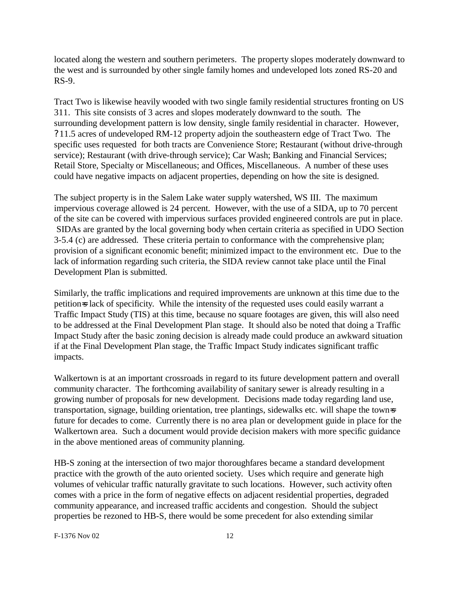located along the western and southern perimeters. The property slopes moderately downward to the west and is surrounded by other single family homes and undeveloped lots zoned RS-20 and RS-9.

Tract Two is likewise heavily wooded with two single family residential structures fronting on US 311. This site consists of 3 acres and slopes moderately downward to the south. The surrounding development pattern is low density, single family residential in character. However, ?11.5 acres of undeveloped RM-12 property adjoin the southeastern edge of Tract Two. The specific uses requested for both tracts are Convenience Store; Restaurant (without drive-through service); Restaurant (with drive-through service); Car Wash; Banking and Financial Services; Retail Store, Specialty or Miscellaneous; and Offices, Miscellaneous. A number of these uses could have negative impacts on adjacent properties, depending on how the site is designed.

The subject property is in the Salem Lake water supply watershed, WS III. The maximum impervious coverage allowed is 24 percent. However, with the use of a SIDA, up to 70 percent of the site can be covered with impervious surfaces provided engineered controls are put in place. SIDAs are granted by the local governing body when certain criteria as specified in UDO Section 3-5.4 (c) are addressed. These criteria pertain to conformance with the comprehensive plan; provision of a significant economic benefit; minimized impact to the environment etc. Due to the lack of information regarding such criteria, the SIDA review cannot take place until the Final Development Plan is submitted.

Similarly, the traffic implications and required improvements are unknown at this time due to the petition=s lack of specificity. While the intensity of the requested uses could easily warrant a Traffic Impact Study (TIS) at this time, because no square footages are given, this will also need to be addressed at the Final Development Plan stage. It should also be noted that doing a Traffic Impact Study after the basic zoning decision is already made could produce an awkward situation if at the Final Development Plan stage, the Traffic Impact Study indicates significant traffic impacts.

Walkertown is at an important crossroads in regard to its future development pattern and overall community character. The forthcoming availability of sanitary sewer is already resulting in a growing number of proposals for new development. Decisions made today regarding land use, transportation, signage, building orientation, tree plantings, sidewalks etc. will shape the town=s future for decades to come. Currently there is no area plan or development guide in place for the Walkertown area. Such a document would provide decision makers with more specific guidance in the above mentioned areas of community planning.

HB-S zoning at the intersection of two major thoroughfares became a standard development practice with the growth of the auto oriented society. Uses which require and generate high volumes of vehicular traffic naturally gravitate to such locations. However, such activity often comes with a price in the form of negative effects on adjacent residential properties, degraded community appearance, and increased traffic accidents and congestion. Should the subject properties be rezoned to HB-S, there would be some precedent for also extending similar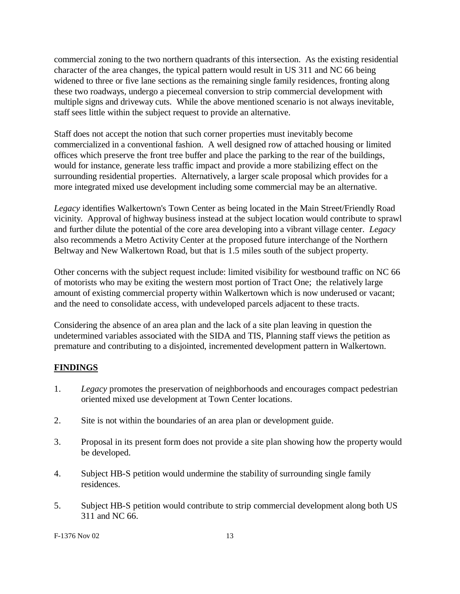commercial zoning to the two northern quadrants of this intersection. As the existing residential character of the area changes, the typical pattern would result in US 311 and NC 66 being widened to three or five lane sections as the remaining single family residences, fronting along these two roadways, undergo a piecemeal conversion to strip commercial development with multiple signs and driveway cuts. While the above mentioned scenario is not always inevitable, staff sees little within the subject request to provide an alternative.

Staff does not accept the notion that such corner properties must inevitably become commercialized in a conventional fashion. A well designed row of attached housing or limited offices which preserve the front tree buffer and place the parking to the rear of the buildings, would for instance, generate less traffic impact and provide a more stabilizing effect on the surrounding residential properties. Alternatively, a larger scale proposal which provides for a more integrated mixed use development including some commercial may be an alternative.

*Legacy* identifies Walkertown's Town Center as being located in the Main Street/Friendly Road vicinity. Approval of highway business instead at the subject location would contribute to sprawl and further dilute the potential of the core area developing into a vibrant village center. *Legacy* also recommends a Metro Activity Center at the proposed future interchange of the Northern Beltway and New Walkertown Road, but that is 1.5 miles south of the subject property.

Other concerns with the subject request include: limited visibility for westbound traffic on NC 66 of motorists who may be exiting the western most portion of Tract One; the relatively large amount of existing commercial property within Walkertown which is now underused or vacant; and the need to consolidate access, with undeveloped parcels adjacent to these tracts.

Considering the absence of an area plan and the lack of a site plan leaving in question the undetermined variables associated with the SIDA and TIS, Planning staff views the petition as premature and contributing to a disjointed, incremented development pattern in Walkertown.

# **FINDINGS**

- 1. *Legacy* promotes the preservation of neighborhoods and encourages compact pedestrian oriented mixed use development at Town Center locations.
- 2. Site is not within the boundaries of an area plan or development guide.
- 3. Proposal in its present form does not provide a site plan showing how the property would be developed.
- 4. Subject HB-S petition would undermine the stability of surrounding single family residences.
- 5. Subject HB-S petition would contribute to strip commercial development along both US 311 and NC 66.

F-1376 Nov 02 13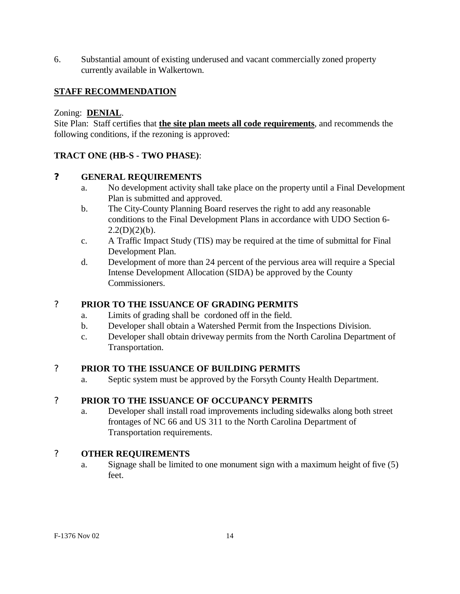6. Substantial amount of existing underused and vacant commercially zoned property currently available in Walkertown.

# **STAFF RECOMMENDATION**

### Zoning: **DENIAL**.

Site Plan: Staff certifies that **the site plan meets all code requirements**, and recommends the following conditions, if the rezoning is approved:

# **TRACT ONE (HB-S - TWO PHASE)**:

### **? GENERAL REQUIREMENTS**

- a. No development activity shall take place on the property until a Final Development Plan is submitted and approved.
- b. The City-County Planning Board reserves the right to add any reasonable conditions to the Final Development Plans in accordance with UDO Section 6-  $2.2(D)(2)(b)$ .
- c. A Traffic Impact Study (TIS) may be required at the time of submittal for Final Development Plan.
- d. Development of more than 24 percent of the pervious area will require a Special Intense Development Allocation (SIDA) be approved by the County Commissioners.

# ? **PRIOR TO THE ISSUANCE OF GRADING PERMITS**

- a. Limits of grading shall be cordoned off in the field.
- b. Developer shall obtain a Watershed Permit from the Inspections Division.
- c. Developer shall obtain driveway permits from the North Carolina Department of Transportation.

### ? **PRIOR TO THE ISSUANCE OF BUILDING PERMITS**

a. Septic system must be approved by the Forsyth County Health Department.

### ? **PRIOR TO THE ISSUANCE OF OCCUPANCY PERMITS**

a. Developer shall install road improvements including sidewalks along both street frontages of NC 66 and US 311 to the North Carolina Department of Transportation requirements.

# ? **OTHER REQUIREMENTS**

a. Signage shall be limited to one monument sign with a maximum height of five (5) feet.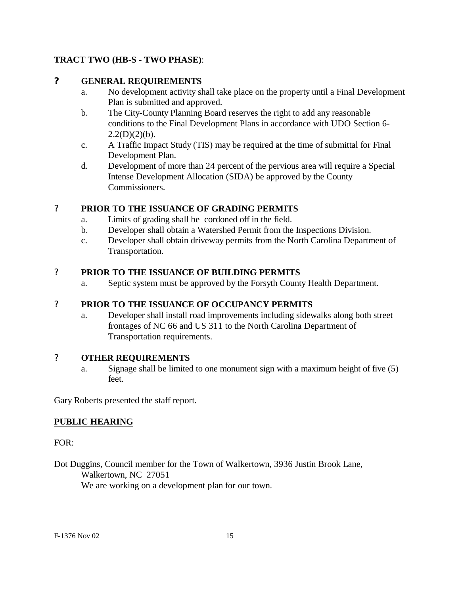# **TRACT TWO (HB-S - TWO PHASE)**:

## **? GENERAL REQUIREMENTS**

- a. No development activity shall take place on the property until a Final Development Plan is submitted and approved.
- b. The City-County Planning Board reserves the right to add any reasonable conditions to the Final Development Plans in accordance with UDO Section 6-  $2.2(D)(2)(b)$ .
- c. A Traffic Impact Study (TIS) may be required at the time of submittal for Final Development Plan.
- d. Development of more than 24 percent of the pervious area will require a Special Intense Development Allocation (SIDA) be approved by the County Commissioners.

# ? **PRIOR TO THE ISSUANCE OF GRADING PERMITS**

- a. Limits of grading shall be cordoned off in the field.
- b. Developer shall obtain a Watershed Permit from the Inspections Division.
- c. Developer shall obtain driveway permits from the North Carolina Department of Transportation.

# ? **PRIOR TO THE ISSUANCE OF BUILDING PERMITS**

a. Septic system must be approved by the Forsyth County Health Department.

# ? **PRIOR TO THE ISSUANCE OF OCCUPANCY PERMITS**

a. Developer shall install road improvements including sidewalks along both street frontages of NC 66 and US 311 to the North Carolina Department of Transportation requirements.

# ? **OTHER REQUIREMENTS**

a. Signage shall be limited to one monument sign with a maximum height of five (5) feet.

Gary Roberts presented the staff report.

# **PUBLIC HEARING**

FOR:

Dot Duggins, Council member for the Town of Walkertown, 3936 Justin Brook Lane, Walkertown, NC 27051 We are working on a development plan for our town.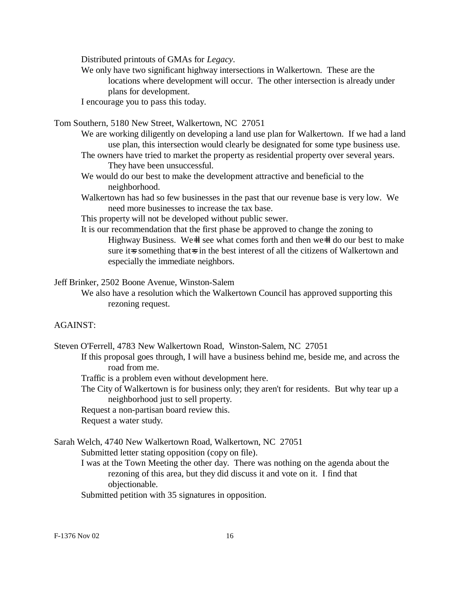Distributed printouts of GMAs for *Legacy*.

We only have two significant highway intersections in Walkertown. These are the locations where development will occur. The other intersection is already under plans for development.

I encourage you to pass this today.

Tom Southern, 5180 New Street, Walkertown, NC 27051

- We are working diligently on developing a land use plan for Walkertown. If we had a land use plan, this intersection would clearly be designated for some type business use.
- The owners have tried to market the property as residential property over several years. They have been unsuccessful.
- We would do our best to make the development attractive and beneficial to the neighborhood.
- Walkertown has had so few businesses in the past that our revenue base is very low. We need more businesses to increase the tax base.

This property will not be developed without public sewer.

It is our recommendation that the first phase be approved to change the zoning to Highway Business. We-ll see what comes forth and then we-ll do our best to make sure it=s something that=s in the best interest of all the citizens of Walkertown and especially the immediate neighbors.

Jeff Brinker, 2502 Boone Avenue, Winston-Salem

We also have a resolution which the Walkertown Council has approved supporting this rezoning request.

### AGAINST:

Steven O'Ferrell, 4783 New Walkertown Road, Winston-Salem, NC 27051

If this proposal goes through, I will have a business behind me, beside me, and across the road from me.

Traffic is a problem even without development here.

The City of Walkertown is for business only; they aren't for residents. But why tear up a neighborhood just to sell property.

Request a non-partisan board review this.

Request a water study.

Sarah Welch, 4740 New Walkertown Road, Walkertown, NC 27051 Submitted letter stating opposition (copy on file).

> I was at the Town Meeting the other day. There was nothing on the agenda about the rezoning of this area, but they did discuss it and vote on it. I find that objectionable.

Submitted petition with 35 signatures in opposition.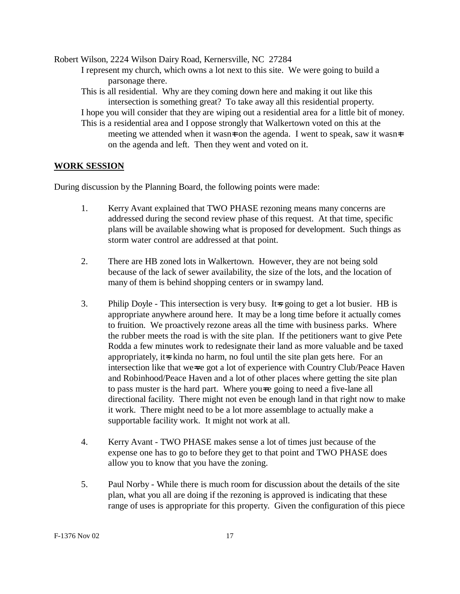Robert Wilson, 2224 Wilson Dairy Road, Kernersville, NC 27284 I represent my church, which owns a lot next to this site. We were going to build a parsonage there. This is all residential. Why are they coming down here and making it out like this intersection is something great? To take away all this residential property. I hope you will consider that they are wiping out a residential area for a little bit of money. This is a residential area and I oppose strongly that Walkertown voted on this at the meeting we attended when it wasn $\pm$  on the agenda. I went to speak, saw it wasn $\pm$ on the agenda and left. Then they went and voted on it.

#### **WORK SESSION**

During discussion by the Planning Board, the following points were made:

- 1. Kerry Avant explained that TWO PHASE rezoning means many concerns are addressed during the second review phase of this request. At that time, specific plans will be available showing what is proposed for development. Such things as storm water control are addressed at that point.
- 2. There are HB zoned lots in Walkertown. However, they are not being sold because of the lack of sewer availability, the size of the lots, and the location of many of them is behind shopping centers or in swampy land.
- 3. Philip Doyle This intersection is very busy. It is going to get a lot busier. HB is appropriate anywhere around here. It may be a long time before it actually comes to fruition. We proactively rezone areas all the time with business parks. Where the rubber meets the road is with the site plan. If the petitioners want to give Pete Rodda a few minutes work to redesignate their land as more valuable and be taxed appropriately, it=s kinda no harm, no foul until the site plan gets here. For an intersection like that we=ve got a lot of experience with Country Club/Peace Haven and Robinhood/Peace Haven and a lot of other places where getting the site plan to pass muster is the hard part. Where you=re going to need a five-lane all directional facility. There might not even be enough land in that right now to make it work. There might need to be a lot more assemblage to actually make a supportable facility work. It might not work at all.
- 4. Kerry Avant TWO PHASE makes sense a lot of times just because of the expense one has to go to before they get to that point and TWO PHASE does allow you to know that you have the zoning.
- 5. Paul Norby While there is much room for discussion about the details of the site plan, what you all are doing if the rezoning is approved is indicating that these range of uses is appropriate for this property. Given the configuration of this piece